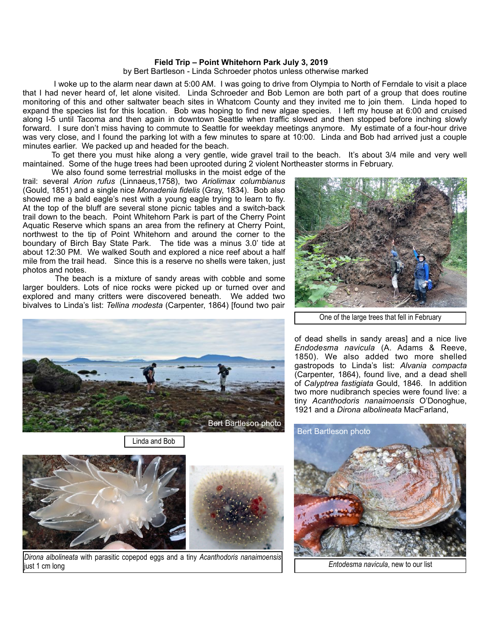## **Field Trip – Point Whitehorn Park July 3, 2019**

by Bert Bartleson - Linda Schroeder photos unless otherwise marked

 I woke up to the alarm near dawn at 5:00 AM. I was going to drive from Olympia to North of Ferndale to visit a place that I had never heard of, let alone visited. Linda Schroeder and Bob Lemon are both part of a group that does routine monitoring of this and other saltwater beach sites in Whatcom County and they invited me to join them. Linda hoped to expand the species list for this location. Bob was hoping to find new algae species. I left my house at 6:00 and cruised along I-5 until Tacoma and then again in downtown Seattle when traffic slowed and then stopped before inching slowly forward. I sure don't miss having to commute to Seattle for weekday meetings anymore. My estimate of a four-hour drive was very close, and I found the parking lot with a few minutes to spare at 10:00. Linda and Bob had arrived just a couple minutes earlier. We packed up and headed for the beach.

 To get there you must hike along a very gentle, wide gravel trail to the beach. It's about 3/4 mile and very well maintained. Some of the huge trees had been uprooted during 2 violent Northeaster storms in February.

 We also found some terrestrial mollusks in the moist edge of the trail: several *Arion rufus* (Linnaeus,1758), two *Ariolimax columbianus*  (Gould, 1851) and a single nice *Monadenia fidelis* (Gray, 1834). Bob also showed me a bald eagle's nest with a young eagle trying to learn to fly. At the top of the bluff are several stone picnic tables and a switch-back trail down to the beach. Point Whitehorn Park is part of the Cherry Point Aquatic Reserve which spans an area from the refinery at Cherry Point, northwest to the tip of Point Whitehorn and around the corner to the boundary of Birch Bay State Park. The tide was a minus 3.0' tide at about 12:30 PM. We walked South and explored a nice reef about a half mile from the trail head. Since this is a reserve no shells were taken, just photos and notes.

 The beach is a mixture of sandy areas with cobble and some larger boulders. Lots of nice rocks were picked up or turned over and explored and many critters were discovered beneath. We added two bivalves to Linda's list: *Tellina modesta* (Carpenter, 1864) [found two pair



Linda and Bob





*Dirona albolineata* with parasitic copepod eggs and a tiny *Acanthodoris nanaimoensis* just 1 cm long



One of the large trees that fell in February

of dead shells in sandy areas] and a nice live *Endodesma navicula* (A. Adams & Reeve, 1850). We also added two more shelled gastropods to Linda's list: *Alvania compacta*  (Carpenter, 1864), found live, and a dead shell of *Calyptrea fastigiata* Gould, 1846*.* In addition two more nudibranch species were found live: a tiny *Acanthodoris nanaimoensis* O'Donoghue, 1921 and a *Dirona albolineata* MacFarland,



 *Entodesma navicula*, new to our list